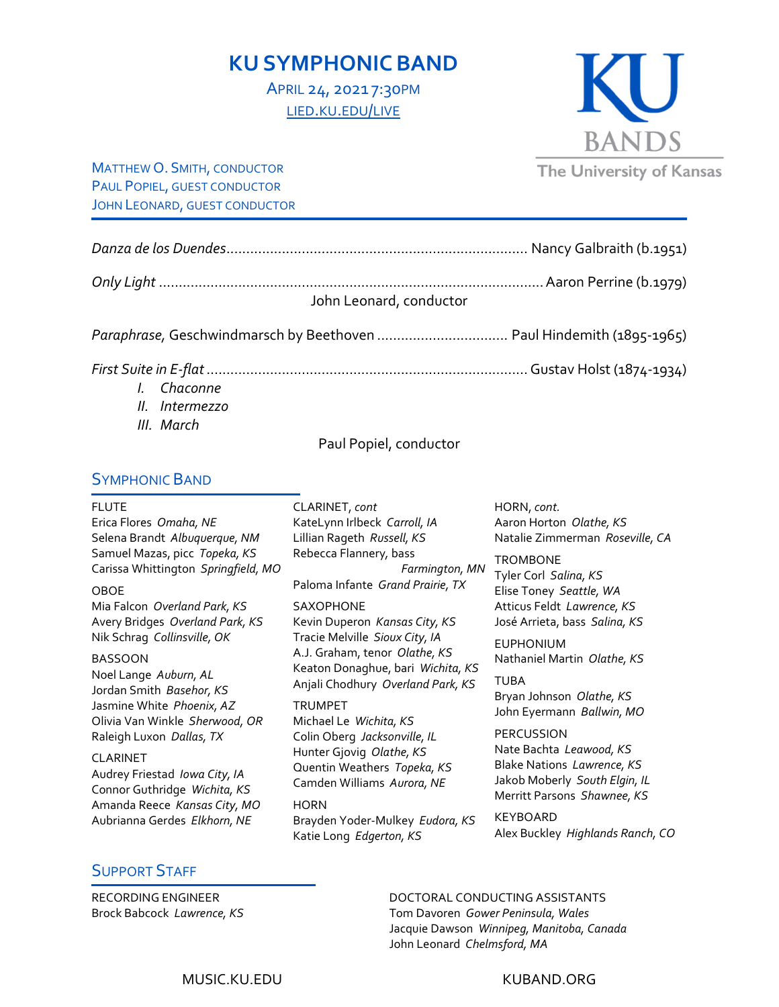# **KU SYMPHONIC BAND**

APRIL 24, 2021 7:30PM [LIED.KU.EDU/LIVE](http://lied.ku.edu/live)

MATTHEW O. SMITH, CONDUCTOR PAUL POPIEL, GUEST CONDUCTOR JOHN LEONARD, GUEST CONDUCTOR

*Danza de los Duendes*............................................................................ Nancy Galbraith (b.1951) *Only Light* .................................................................................................Aaron Perrine (b.1979) John Leonard, conductor *Paraphrase,* Geschwindmarsch by Beethoven ................................. Paul Hindemith (1895-1965)

*First Suite in E-flat*.................................................................................Gustav Holst (1874-1934)

- *I. Chaconne*
- *II. Intermezzo*
- *III. March*

#### Paul Popiel, conductor

### SYMPHONIC BAND

#### FLUTE

Erica Flores *Omaha, NE* Selena Brandt *Albuquerque, NM* Samuel Mazas, picc *Topeka, KS* Carissa Whittington *Springfield, MO*

#### OBOE

Mia Falcon *Overland Park, KS* Avery Bridges *Overland Park, KS* Nik Schrag *Collinsville, OK*

#### BASSOON

Noel Lange *Auburn, AL* Jordan Smith *Basehor, KS* Jasmine White *Phoenix, AZ* Olivia Van Winkle *Sherwood, OR* Raleigh Luxon *Dallas, TX*

#### CLARINET

Audrey Friestad *Iowa City, IA* Connor Guthridge *Wichita, KS* Amanda Reece *Kansas City, MO* Aubrianna Gerdes *Elkhorn, NE*

CLARINET, *cont* KateLynn Irlbeck *Carroll, IA* Lillian Rageth *Russell, KS* Rebecca Flannery*,* bass *Farmington, MN* Paloma Infante *Grand Prairie, TX*

#### SAXOPHONE

Kevin Duperon *Kansas City, KS* Tracie Melville *Sioux City, IA* A.J. Graham, tenor *Olathe, KS* Keaton Donaghue, bari *Wichita, KS* Anjali Chodhury *Overland Park, KS*

#### TRUMPET

Michael Le *Wichita, KS* Colin Oberg *Jacksonville, IL* Hunter Gjovig *Olathe, KS* Quentin Weathers *Topeka, KS*  Camden Williams *Aurora, NE*

**HORN** Brayden Yoder-Mulkey *Eudora, KS* Katie Long *Edgerton, KS*

HORN, *cont.* Aaron Horton *Olathe, KS* Natalie Zimmerman *Roseville, CA*

#### **TROMBONE**

Tyler Corl *Salina, KS* Elise Toney *Seattle, WA* Atticus Feldt *Lawrence, KS* José Arrieta, bass *Salina, KS*

EUPHONIUM Nathaniel Martin *Olathe, KS*

TUBA Bryan Johnson *Olathe, KS* John Eyermann *Ballwin, MO*

**PERCUSSION** Nate Bachta *Leawood, KS* Blake Nations *Lawrence, KS* Jakob Moberly *South Elgin, IL* Merritt Parsons *Shawnee, KS*

KEYBOARD Alex Buckley *Highlands Ranch, CO*

# SUPPORT STAFF

RECORDING ENGINEER Brock Babcock *Lawrence, KS*

## DOCTORAL CONDUCTING ASSISTANTS

Tom Davoren *Gower Peninsula, Wales* Jacquie Dawson *Winnipeg, Manitoba, Canada* John Leonard *Chelmsford, MA*

MUSIC.KU.EDU KUBAND.ORG